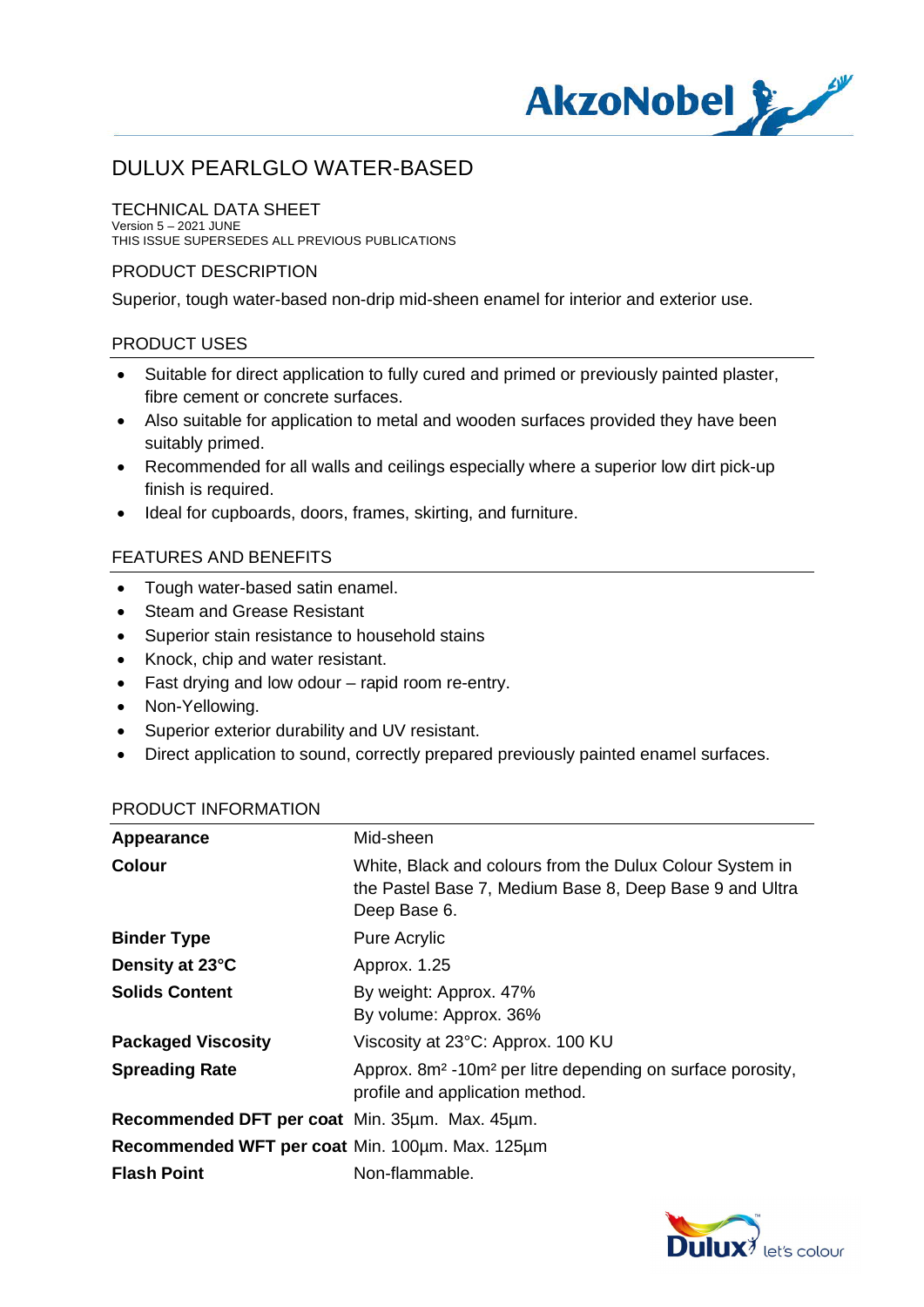

### TECHNICAL DATA SHEET

Version 5 – 2021 JUNE THIS ISSUE SUPERSEDES ALL PREVIOUS PUBLICATIONS

### PRODUCT DESCRIPTION

Superior, tough water-based non-drip mid-sheen enamel for interior and exterior use.

### PRODUCT USES

- · Suitable for direct application to fully cured and primed or previously painted plaster, fibre cement or concrete surfaces.
- · Also suitable for application to metal and wooden surfaces provided they have been suitably primed.
- · Recommended for all walls and ceilings especially where a superior low dirt pick-up finish is required.
- · Ideal for cupboards, doors, frames, skirting, and furniture.

## FEATURES AND BENEFITS

- · Tough water-based satin enamel.
- · Steam and Grease Resistant
- · Superior stain resistance to household stains
- · Knock, chip and water resistant.
- · Fast drying and low odour rapid room re-entry.
- · Non-Yellowing.
- · Superior exterior durability and UV resistant.
- · Direct application to sound, correctly prepared previously painted enamel surfaces.

#### PRODUCT INFORMATION

| Appearance                                      | Mid-sheen                                                                                                                           |
|-------------------------------------------------|-------------------------------------------------------------------------------------------------------------------------------------|
| <b>Colour</b>                                   | White, Black and colours from the Dulux Colour System in<br>the Pastel Base 7, Medium Base 8, Deep Base 9 and Ultra<br>Deep Base 6. |
| <b>Binder Type</b>                              | <b>Pure Acrylic</b>                                                                                                                 |
| Density at 23°C                                 | Approx. 1.25                                                                                                                        |
| <b>Solids Content</b>                           | By weight: Approx. 47%<br>By volume: Approx. 36%                                                                                    |
| <b>Packaged Viscosity</b>                       | Viscosity at 23°C: Approx. 100 KU                                                                                                   |
| <b>Spreading Rate</b>                           | Approx. 8m <sup>2</sup> -10m <sup>2</sup> per litre depending on surface porosity,<br>profile and application method.               |
| Recommended DFT per coat Min. 35um. Max. 45um.  |                                                                                                                                     |
| Recommended WFT per coat Min. 100um. Max. 125um |                                                                                                                                     |
| <b>Flash Point</b>                              | Non-flammable.                                                                                                                      |

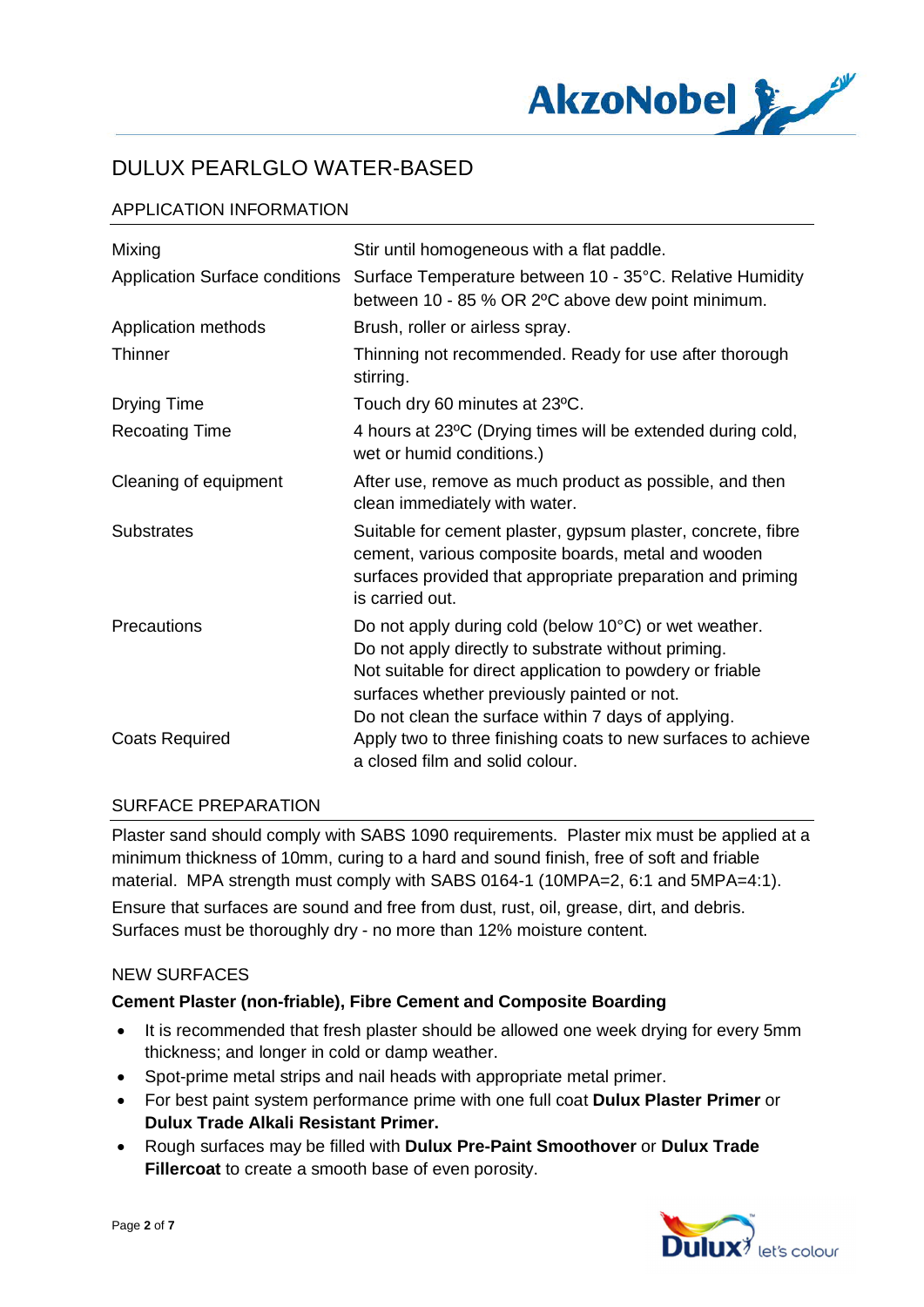

# APPLICATION INFORMATION

| Mixing                                | Stir until homogeneous with a flat paddle.                                                                                                                                                                                                                                      |
|---------------------------------------|---------------------------------------------------------------------------------------------------------------------------------------------------------------------------------------------------------------------------------------------------------------------------------|
| <b>Application Surface conditions</b> | Surface Temperature between 10 - 35°C. Relative Humidity<br>between 10 - 85 % OR 2°C above dew point minimum.                                                                                                                                                                   |
| Application methods                   | Brush, roller or airless spray.                                                                                                                                                                                                                                                 |
| <b>Thinner</b>                        | Thinning not recommended. Ready for use after thorough<br>stirring.                                                                                                                                                                                                             |
| Drying Time                           | Touch dry 60 minutes at 23°C.                                                                                                                                                                                                                                                   |
| <b>Recoating Time</b>                 | 4 hours at 23°C (Drying times will be extended during cold,<br>wet or humid conditions.)                                                                                                                                                                                        |
| Cleaning of equipment                 | After use, remove as much product as possible, and then<br>clean immediately with water.                                                                                                                                                                                        |
| <b>Substrates</b>                     | Suitable for cement plaster, gypsum plaster, concrete, fibre<br>cement, various composite boards, metal and wooden<br>surfaces provided that appropriate preparation and priming<br>is carried out.                                                                             |
| Precautions                           | Do not apply during cold (below 10°C) or wet weather.<br>Do not apply directly to substrate without priming.<br>Not suitable for direct application to powdery or friable<br>surfaces whether previously painted or not.<br>Do not clean the surface within 7 days of applying. |
| <b>Coats Required</b>                 | Apply two to three finishing coats to new surfaces to achieve<br>a closed film and solid colour.                                                                                                                                                                                |

#### SURFACE PREPARATION

Plaster sand should comply with SABS 1090 requirements. Plaster mix must be applied at a minimum thickness of 10mm, curing to a hard and sound finish, free of soft and friable material. MPA strength must comply with SABS 0164-1 (10MPA=2, 6:1 and 5MPA=4:1).

Ensure that surfaces are sound and free from dust, rust, oil, grease, dirt, and debris. Surfaces must be thoroughly dry - no more than 12% moisture content.

#### NEW SURFACES

#### **Cement Plaster (non-friable), Fibre Cement and Composite Boarding**

- · It is recommended that fresh plaster should be allowed one week drying for every 5mm thickness; and longer in cold or damp weather.
- · Spot-prime metal strips and nail heads with appropriate metal primer.
- · For best paint system performance prime with one full coat **Dulux Plaster Primer** or **Dulux Trade Alkali Resistant Primer.**
- · Rough surfaces may be filled with **Dulux Pre-Paint Smoothover** or **Dulux Trade Fillercoat** to create a smooth base of even porosity.

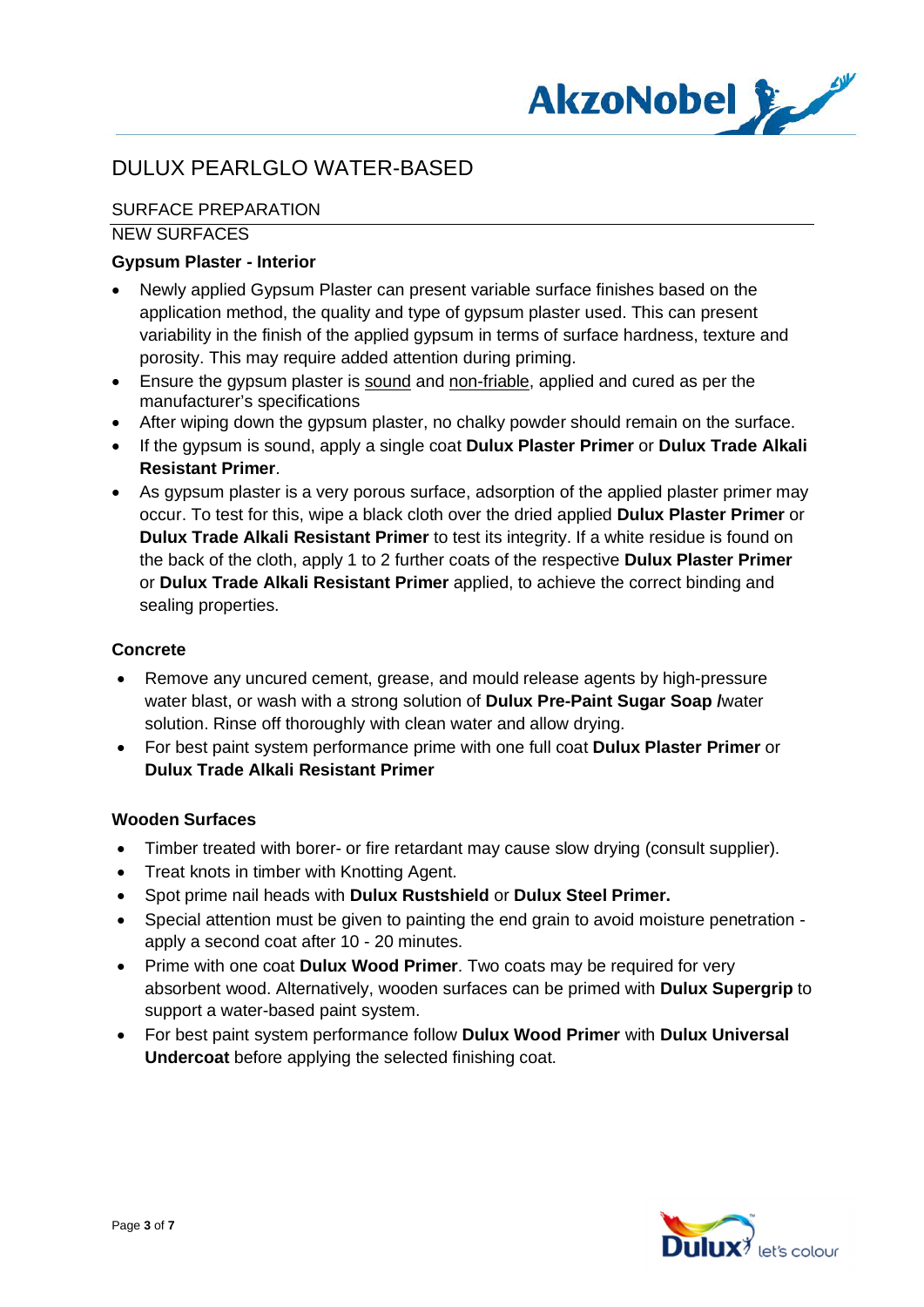

# SURFACE PREPARATION

### NEW SURFACES

## **Gypsum Plaster - Interior**

- Newly applied Gypsum Plaster can present variable surface finishes based on the application method, the quality and type of gypsum plaster used. This can present variability in the finish of the applied gypsum in terms of surface hardness, texture and porosity. This may require added attention during priming.
- Ensure the gypsum plaster is sound and non-friable, applied and cured as per the manufacturer's specifications
- After wiping down the gypsum plaster, no chalky powder should remain on the surface.
- · If the gypsum is sound, apply a single coat **Dulux Plaster Primer** or **Dulux Trade Alkali Resistant Primer**.
- · As gypsum plaster is a very porous surface, adsorption of the applied plaster primer may occur. To test for this, wipe a black cloth over the dried applied **Dulux Plaster Primer** or **Dulux Trade Alkali Resistant Primer** to test its integrity. If a white residue is found on the back of the cloth, apply 1 to 2 further coats of the respective **Dulux Plaster Primer** or **Dulux Trade Alkali Resistant Primer** applied, to achieve the correct binding and sealing properties.

## **Concrete**

- · Remove any uncured cement, grease, and mould release agents by high-pressure water blast, or wash with a strong solution of **Dulux Pre-Paint Sugar Soap /**water solution. Rinse off thoroughly with clean water and allow drying.
- · For best paint system performance prime with one full coat **Dulux Plaster Primer** or **Dulux Trade Alkali Resistant Primer**

## **Wooden Surfaces**

- · Timber treated with borer- or fire retardant may cause slow drying (consult supplier).
- · Treat knots in timber with Knotting Agent.
- · Spot prime nail heads with **Dulux Rustshield** or **Dulux Steel Primer.**
- · Special attention must be given to painting the end grain to avoid moisture penetration apply a second coat after 10 - 20 minutes.
- · Prime with one coat **Dulux Wood Primer**. Two coats may be required for very absorbent wood. Alternatively, wooden surfaces can be primed with **Dulux Supergrip** to support a water-based paint system.
- · For best paint system performance follow **Dulux Wood Primer** with **Dulux Universal Undercoat** before applying the selected finishing coat.

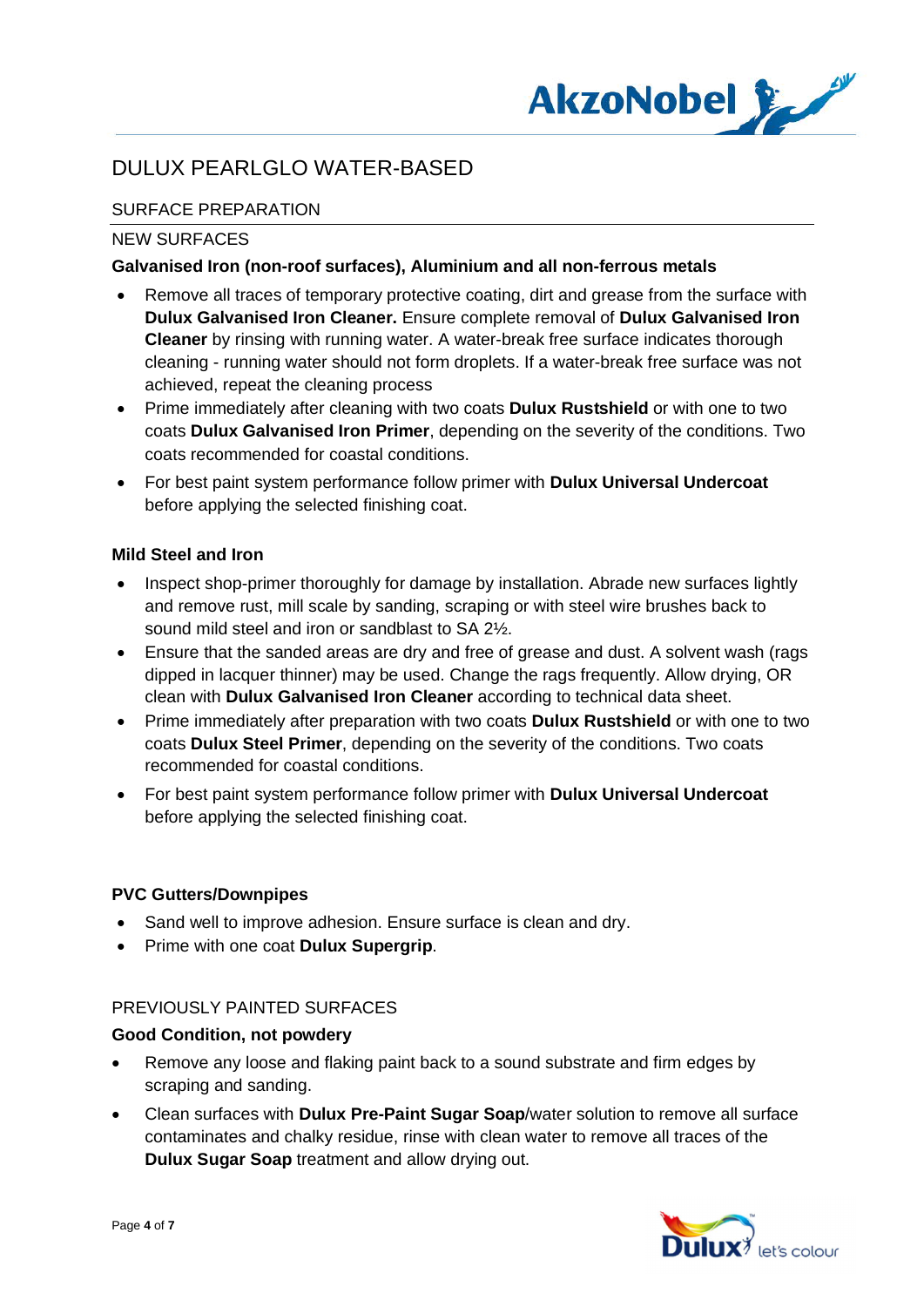

# SURFACE PREPARATION

### NEW SURFACES

### **Galvanised Iron (non-roof surfaces), Aluminium and all non-ferrous metals**

- · Remove all traces of temporary protective coating, dirt and grease from the surface with **Dulux Galvanised Iron Cleaner.** Ensure complete removal of **Dulux Galvanised Iron Cleaner** by rinsing with running water. A water-break free surface indicates thorough cleaning - running water should not form droplets. If a water-break free surface was not achieved, repeat the cleaning process
- · Prime immediately after cleaning with two coats **Dulux Rustshield** or with one to two coats **Dulux Galvanised Iron Primer**, depending on the severity of the conditions. Two coats recommended for coastal conditions.
- · For best paint system performance follow primer with **Dulux Universal Undercoat** before applying the selected finishing coat.

## **Mild Steel and Iron**

- Inspect shop-primer thoroughly for damage by installation. Abrade new surfaces lightly and remove rust, mill scale by sanding, scraping or with steel wire brushes back to sound mild steel and iron or sandblast to SA 2½.
- Ensure that the sanded areas are dry and free of grease and dust. A solvent wash (rags dipped in lacquer thinner) may be used. Change the rags frequently. Allow drying, OR clean with **Dulux Galvanised Iron Cleaner** according to technical data sheet.
- · Prime immediately after preparation with two coats **Dulux Rustshield** or with one to two coats **Dulux Steel Primer**, depending on the severity of the conditions. Two coats recommended for coastal conditions.
- · For best paint system performance follow primer with **Dulux Universal Undercoat** before applying the selected finishing coat.

#### **PVC Gutters/Downpipes**

- Sand well to improve adhesion. Ensure surface is clean and dry.
- · Prime with one coat **Dulux Supergrip**.

#### PREVIOUSLY PAINTED SURFACES

#### **Good Condition, not powdery**

- · Remove any loose and flaking paint back to a sound substrate and firm edges by scraping and sanding.
- · Clean surfaces with **Dulux Pre-Paint Sugar Soap**/water solution to remove all surface contaminates and chalky residue, rinse with clean water to remove all traces of the **Dulux Sugar Soap** treatment and allow drying out.

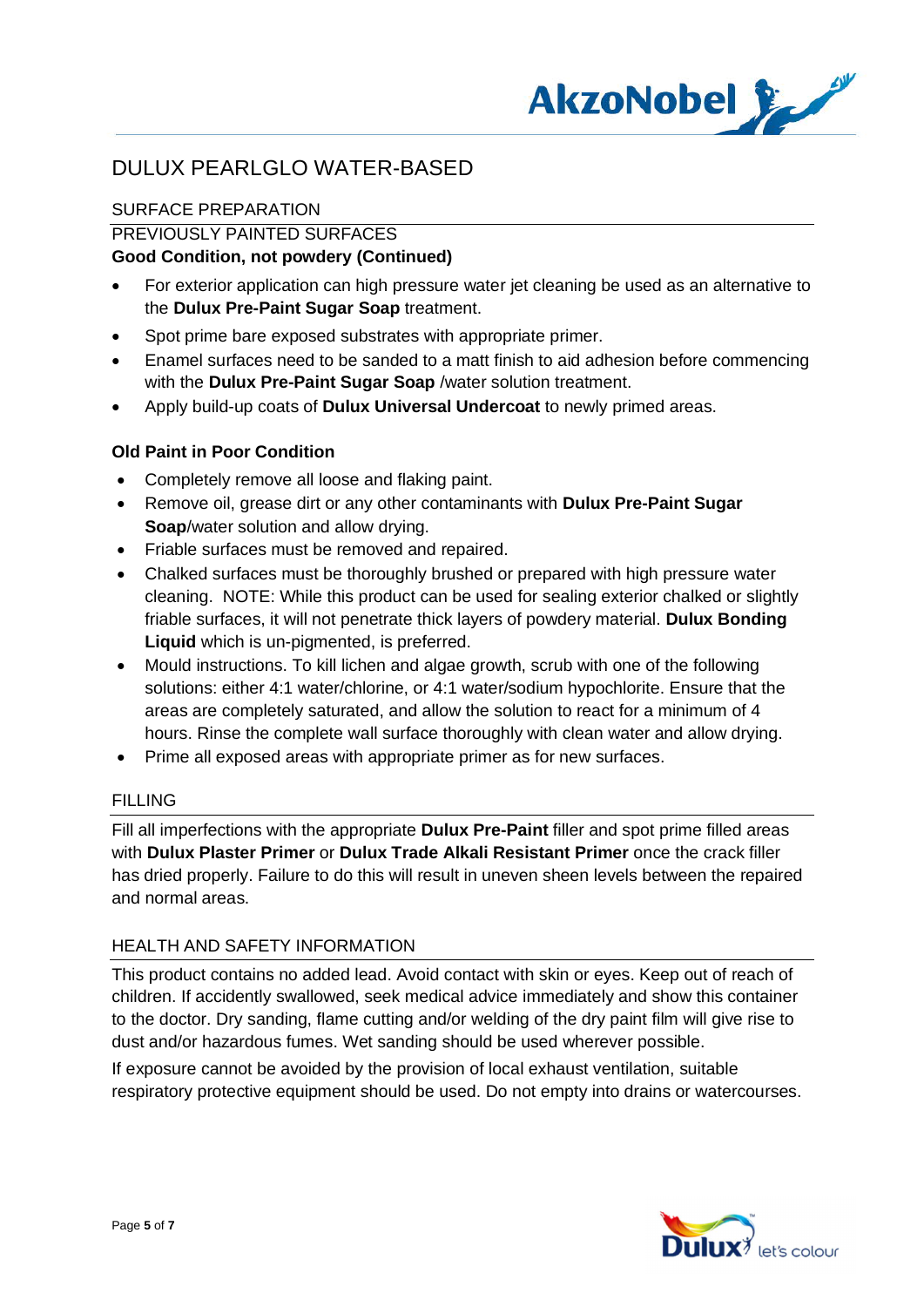

# SURFACE PREPARATION

## PREVIOUSLY PAINTED SURFACES

## **Good Condition, not powdery (Continued)**

- · For exterior application can high pressure water jet cleaning be used as an alternative to the **Dulux Pre-Paint Sugar Soap** treatment.
- Spot prime bare exposed substrates with appropriate primer.
- · Enamel surfaces need to be sanded to a matt finish to aid adhesion before commencing with the **Dulux Pre-Paint Sugar Soap** /water solution treatment.
- · Apply build-up coats of **Dulux Universal Undercoat** to newly primed areas.

### **Old Paint in Poor Condition**

- · Completely remove all loose and flaking paint.
- · Remove oil, grease dirt or any other contaminants with **Dulux Pre-Paint Sugar Soap**/water solution and allow drying.
- · Friable surfaces must be removed and repaired.
- · Chalked surfaces must be thoroughly brushed or prepared with high pressure water cleaning. NOTE: While this product can be used for sealing exterior chalked or slightly friable surfaces, it will not penetrate thick layers of powdery material. **Dulux Bonding Liquid** which is un-pigmented, is preferred.
- · Mould instructions. To kill lichen and algae growth, scrub with one of the following solutions: either 4:1 water/chlorine, or 4:1 water/sodium hypochlorite. Ensure that the areas are completely saturated, and allow the solution to react for a minimum of 4 hours. Rinse the complete wall surface thoroughly with clean water and allow drying.
- · Prime all exposed areas with appropriate primer as for new surfaces.

#### FILLING

Fill all imperfections with the appropriate **Dulux Pre-Paint** filler and spot prime filled areas with **Dulux Plaster Primer** or **Dulux Trade Alkali Resistant Primer** once the crack filler has dried properly. Failure to do this will result in uneven sheen levels between the repaired and normal areas.

#### HEALTH AND SAFFTY INFORMATION

This product contains no added lead. Avoid contact with skin or eyes. Keep out of reach of children. If accidently swallowed, seek medical advice immediately and show this container to the doctor. Dry sanding, flame cutting and/or welding of the dry paint film will give rise to dust and/or hazardous fumes. Wet sanding should be used wherever possible.

If exposure cannot be avoided by the provision of local exhaust ventilation, suitable respiratory protective equipment should be used. Do not empty into drains or watercourses.

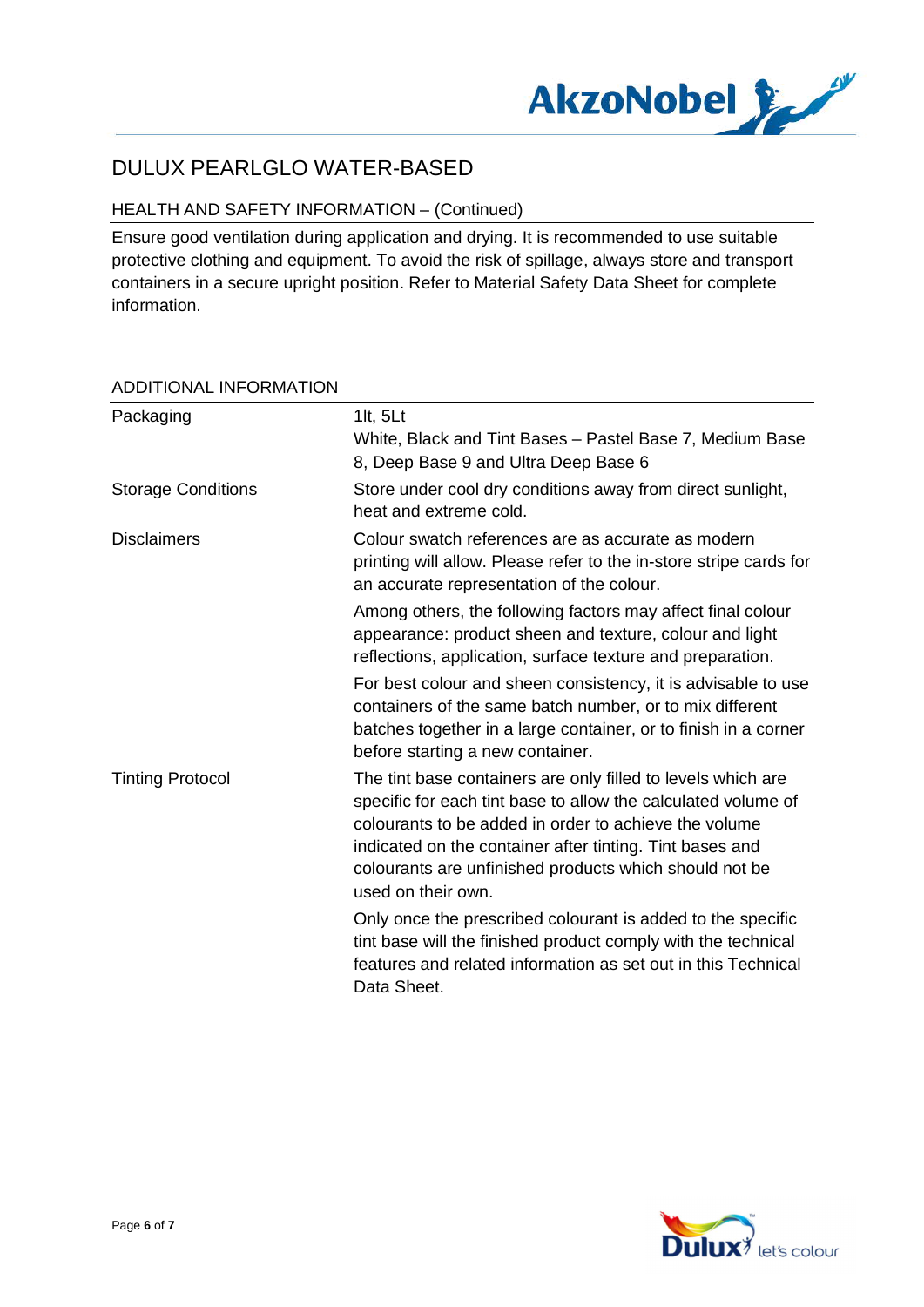

# HEALTH AND SAFETY INFORMATION – (Continued)

Ensure good ventilation during application and drying. It is recommended to use suitable protective clothing and equipment. To avoid the risk of spillage, always store and transport containers in a secure upright position. Refer to Material Safety Data Sheet for complete information.

| Packaging                 | 1 $t, 5$ Lt<br>White, Black and Tint Bases - Pastel Base 7, Medium Base<br>8, Deep Base 9 and Ultra Deep Base 6                                                                                                                                                                                                                    |
|---------------------------|------------------------------------------------------------------------------------------------------------------------------------------------------------------------------------------------------------------------------------------------------------------------------------------------------------------------------------|
| <b>Storage Conditions</b> | Store under cool dry conditions away from direct sunlight,<br>heat and extreme cold.                                                                                                                                                                                                                                               |
| <b>Disclaimers</b>        | Colour swatch references are as accurate as modern<br>printing will allow. Please refer to the in-store stripe cards for<br>an accurate representation of the colour.                                                                                                                                                              |
|                           | Among others, the following factors may affect final colour<br>appearance: product sheen and texture, colour and light<br>reflections, application, surface texture and preparation.                                                                                                                                               |
|                           | For best colour and sheen consistency, it is advisable to use<br>containers of the same batch number, or to mix different<br>batches together in a large container, or to finish in a corner<br>before starting a new container.                                                                                                   |
| <b>Tinting Protocol</b>   | The tint base containers are only filled to levels which are<br>specific for each tint base to allow the calculated volume of<br>colourants to be added in order to achieve the volume<br>indicated on the container after tinting. Tint bases and<br>colourants are unfinished products which should not be<br>used on their own. |
|                           | Only once the prescribed colourant is added to the specific<br>tint base will the finished product comply with the technical<br>features and related information as set out in this Technical<br>Data Sheet.                                                                                                                       |

# ADDITIONAL INFORMATION